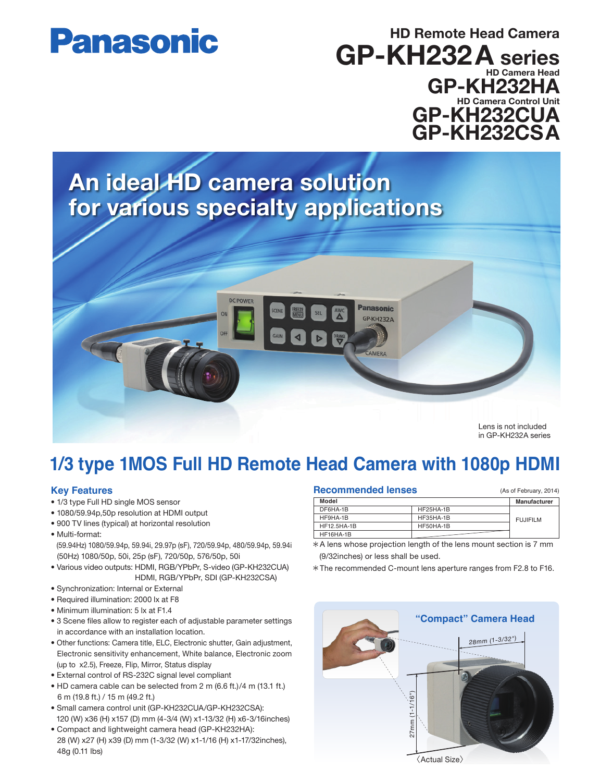# **Panasonic**

### HD Remote Head Camera GP-KH232A series HD Camera Head GP-KH232HA HD Camera Control Unit GP-KH232CUA GP-KH232CSA

## An ideal HD camera solution for various specialty applications



in GP-KH232A series

### **1/3 type 1MOS Full HD Remote Head Camera with 1080p HDMI**

#### **Key Features**

- 1/3 type Full HD single MOS sensor
- 1080/59.94p,50p resolution at HDMI output
- 900 TV lines (typical) at horizontal resolution
- Multi-format:
- (59.94Hz) 1080/59.94p, 59.94i, 29.97p (sF), 720/59.94p, 480/59.94p, 59.94i (50Hz) 1080/50p, 50i, 25p (sF), 720/50p, 576/50p, 50i
- Various video outputs: HDMI, RGB/YPbPr, S-video (GP-KH232CUA) HDMI, RGB/YPbPr, SDI (GP-KH232CSA)
- Synchronization: Internal or External
- Required illumination: 2000 lx at F8
- Minimum illumination: 5 lx at F1.4
- 3 Scene files allow to register each of adjustable parameter settings in accordance with an installation location.
- Other functions: Camera title, ELC, Electronic shutter, Gain adjustment, Electronic sensitivity enhancement, White balance, Electronic zoom (up to x2.5), Freeze, Flip, Mirror, Status display
- External control of RS-232C signal level compliant
- HD camera cable can be selected from 2 m (6.6 ft.)/4 m (13.1 ft.) 6 m (19.8 ft.) / 15 m (49.2 ft.)
- Small camera control unit (GP-KH232CUA/GP-KH232CSA): 120 (W) x36 (H) x157 (D) mm (4-3/4 (W) x1-13/32 (H) x6-3/16inches)
- Compact and lightweight camera head (GP-KH232HA): 28 (W) x27 (H) x39 (D) mm (1-3/32 (W) x1-1/16 (H) x1-17/32inches), 48g (0.11 lbs)

| <b>Recommended lenses</b> |  |
|---------------------------|--|
|---------------------------|--|

| (As of February, 2014) |  |
|------------------------|--|
|                        |  |

| Model       |           | Manufacturer    |
|-------------|-----------|-----------------|
| DF6HA-1B    | HF25HA-1B |                 |
| HF9HA-1B    | HF35HA-1B | <b>FUJIFILM</b> |
| HF12.5HA-1B | HF50HA-1B |                 |
| HF16HA-1B   |           |                 |

- A lens whose projection length of the lens mount section is 7 mm (9/32inches) or less shall be used.
- The recommended C-mount lens aperture ranges from F2.8 to F16.